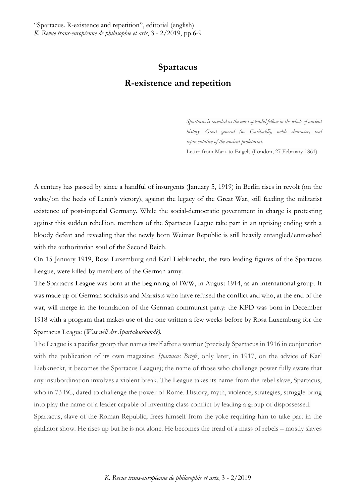## **Spartacus R-existence and repetition**

*Spartacus is revealed as the most splendid fellow in the whole of ancient history. Great general (no Garibaldi), noble character, real representative of the ancient proletariat.* Letter from Marx to Engels (London, 27 February 1861)

A century has passed by since a handful of insurgents (January 5, 1919) in Berlin rises in revolt (on the wake/on the heels of Lenin's victory), against the legacy of the Great War, still feeding the militarist existence of post-imperial Germany. While the social-democratic government in charge is protesting against this sudden rebellion, members of the Spartacus League take part in an uprising ending with a bloody defeat and revealing that the newly born Weimar Republic is still heavily entangled/enmeshed with the authoritarian soul of the Second Reich.

On 15 January 1919, Rosa Luxemburg and Karl Liebknecht, the two leading figures of the Spartacus League, were killed by members of the German army.

The Spartacus League was born at the beginning of IWW, in August 1914, as an international group. It was made up of German socialists and Marxists who have refused the conflict and who, at the end of the war, will merge in the foundation of the German communist party: the KPD was born in December 1918 with a program that makes use of the one written a few weeks before by Rosa Luxemburg for the Spartacus League (*Was will der Spartakusbund?).*

The League is a pacifist group that names itself after a warrior (precisely Spartacus in 1916 in conjunction with the publication of its own magazine: *Spartacus Briefe*, only later, in 1917, on the advice of Karl Liebkneckt, it becomes the Spartacus League); the name of those who challenge power fully aware that any insubordination involves a violent break. The League takes its name from the rebel slave, Spartacus, who in 73 BC, dared to challenge the power of Rome. History, myth, violence, strategies, struggle bring into play the name of a leader capable of inventing class conflict by leading a group of dispossessed.

Spartacus, slave of the Roman Republic, frees himself from the yoke requiring him to take part in the gladiator show. He rises up but he is not alone. He becomes the tread of a mass of rebels – mostly slaves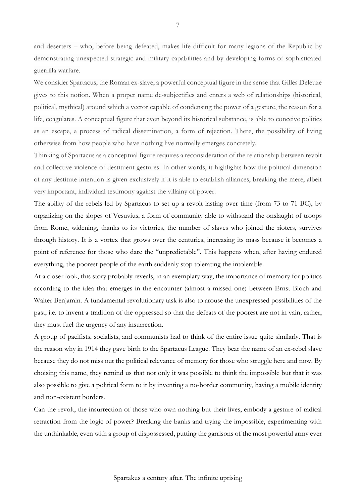and deserters – who, before being defeated, makes life difficult for many legions of the Republic by demonstrating unexpected strategic and military capabilities and by developing forms of sophisticated guerrilla warfare.

We consider Spartacus, the Roman ex-slave, a powerful conceptual figure in the sense that Gilles Deleuze gives to this notion. When a proper name de-subjectifies and enters a web of relationships (historical, political, mythical) around which a vector capable of condensing the power of a gesture, the reason for a life, coagulates. A conceptual figure that even beyond its historical substance, is able to conceive politics as an escape, a process of radical dissemination, a form of rejection. There, the possibility of living otherwise from how people who have nothing live normally emerges concretely.

Thinking of Spartacus as a conceptual figure requires a reconsideration of the relationship between revolt and collective violence of destituent gestures. In other words, it highlights how the political dimension of any destitute intention is given exclusively if it is able to establish alliances, breaking the mere, albeit very important, individual testimony against the villainy of power.

The ability of the rebels led by Spartacus to set up a revolt lasting over time (from 73 to 71 BC), by organizing on the slopes of Vesuvius, a form of community able to withstand the onslaught of troops from Rome, widening, thanks to its victories, the number of slaves who joined the rioters, survives through history. It is a vortex that grows over the centuries, increasing its mass because it becomes a point of reference for those who dare the "unpredictable". This happens when, after having endured everything, the poorest people of the earth suddenly stop tolerating the intolerable.

At a closer look, this story probably reveals, in an exemplary way, the importance of memory for politics according to the idea that emerges in the encounter (almost a missed one) between Ernst Bloch and Walter Benjamin. A fundamental revolutionary task is also to arouse the unexpressed possibilities of the past, i.e. to invent a tradition of the oppressed so that the defeats of the poorest are not in vain; rather, they must fuel the urgency of any insurrection.

A group of pacifists, socialists, and communists had to think of the entire issue quite similarly. That is the reason why in 1914 they gave birth to the Spartacus League. They bear the name of an ex-rebel slave because they do not miss out the political relevance of memory for those who struggle here and now. By choising this name, they remind us that not only it was possible to think the impossible but that it was also possible to give a political form to it by inventing a no-border community, having a mobile identity and non-existent borders.

Can the revolt, the insurrection of those who own nothing but their lives, embody a gesture of radical retraction from the logic of power? Breaking the banks and trying the impossible, experimenting with the unthinkable, even with a group of dispossessed, putting the garrisons of the most powerful army ever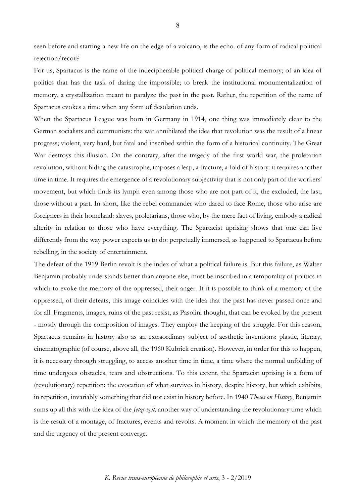seen before and starting a new life on the edge of a volcano, is the echo. of any form of radical political rejection/recoil?

For us, Spartacus is the name of the indecipherable political charge of political memory; of an idea of politics that has the task of daring the impossible; to break the institutional monumentalization of memory, a crystallization meant to paralyze the past in the past. Rather, the repetition of the name of Spartacus evokes a time when any form of desolation ends.

When the Spartacus League was born in Germany in 1914, one thing was immediately clear to the German socialists and communists: the war annihilated the idea that revolution was the result of a linear progress; violent, very hard, but fatal and inscribed within the form of a historical continuity. The Great War destroys this illusion. On the contrary, after the tragedy of the first world war, the proletarian revolution, without hiding the catastrophe, imposes a leap, a fracture, a fold of history: it requires another time in time. It requires the emergence of a revolutionary subjectivity that is not only part of the workers' movement, but which finds its lymph even among those who are not part of it, the excluded, the last, those without a part. In short, like the rebel commander who dared to face Rome, those who arise are foreigners in their homeland: slaves, proletarians, those who, by the mere fact of living, embody a radical alterity in relation to those who have everything. The Spartacist uprising shows that one can live differently from the way power expects us to do: perpetually immersed, as happened to Spartacus before rebelling, in the society of entertainment.

The defeat of the 1919 Berlin revolt is the index of what a political failure is. But this failure, as Walter Benjamin probably understands better than anyone else, must be inscribed in a temporality of politics in which to evoke the memory of the oppressed, their anger. If it is possible to think of a memory of the oppressed, of their defeats, this image coincides with the idea that the past has never passed once and for all. Fragments, images, ruins of the past resist, as Pasolini thought, that can be evoked by the present - mostly through the composition of images. They employ the keeping of the struggle. For this reason, Spartacus remains in history also as an extraordinary subject of aesthetic inventions: plastic, literary, cinematographic (of course, above all, the 1960 Kubrick creation). However, in order for this to happen, it is necessary through struggling, to access another time in time, a time where the normal unfolding of time undergoes obstacles, tears and obstructions. To this extent, the Spartacist uprising is a form of (revolutionary) repetition: the evocation of what survives in history, despite history, but which exhibits, in repetition, invariably something that did not exist in history before. In 1940 *Theses on History*, Benjamin sums up all this with the idea of the *Jetzt-zeit;* another way of understanding the revolutionary time which is the result of a montage, of fractures, events and revolts. A moment in which the memory of the past and the urgency of the present converge.